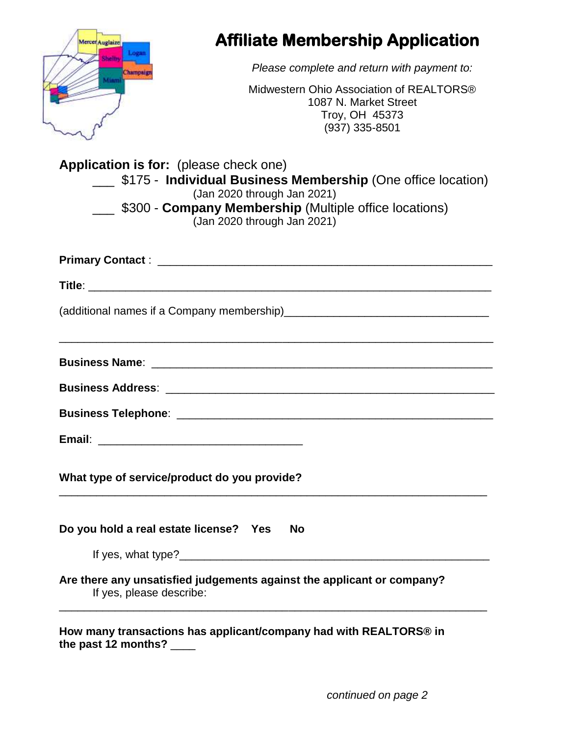| Mercer Auglaize<br>Logan                                                   | <b>Affiliate Membership Application</b>                                                                                                                                                    |
|----------------------------------------------------------------------------|--------------------------------------------------------------------------------------------------------------------------------------------------------------------------------------------|
| Champasgn                                                                  | Please complete and return with payment to:                                                                                                                                                |
|                                                                            | Midwestern Ohio Association of REALTORS®<br>1087 N. Market Street<br>Troy, OH 45373<br>$(937)$ 335-8501                                                                                    |
| <b>Application is for:</b> (please check one)                              | <b>5175 - Individual Business Membership (One office location)</b><br>(Jan 2020 through Jan 2021)<br>\$300 - Company Membership (Multiple office locations)<br>(Jan 2020 through Jan 2021) |
|                                                                            |                                                                                                                                                                                            |
|                                                                            |                                                                                                                                                                                            |
|                                                                            |                                                                                                                                                                                            |
|                                                                            |                                                                                                                                                                                            |
|                                                                            |                                                                                                                                                                                            |
|                                                                            |                                                                                                                                                                                            |
|                                                                            |                                                                                                                                                                                            |
| Email:<br><u> 2000 - Jan James James Barnett, fransk politik (d. 1882)</u> |                                                                                                                                                                                            |
| What type of service/product do you provide?                               |                                                                                                                                                                                            |
| Do you hold a real estate license? Yes                                     | <b>No</b>                                                                                                                                                                                  |
|                                                                            | If yes, what type?                                                                                                                                                                         |

*continued on page 2*